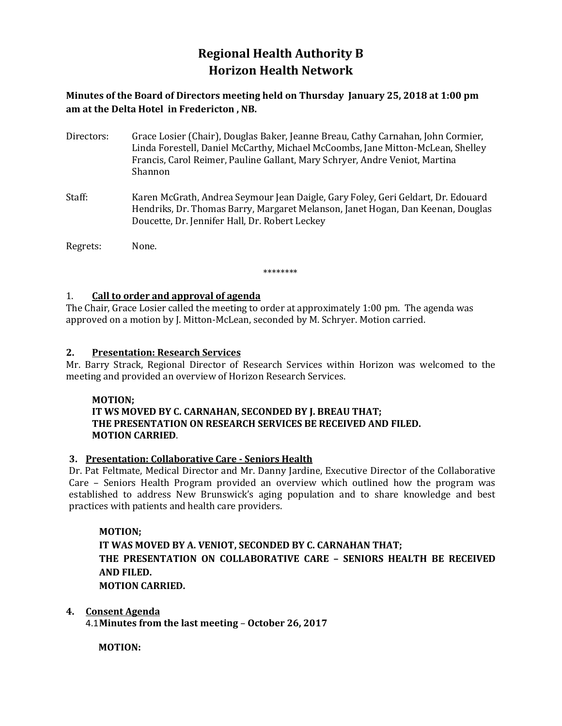# **Regional Health Authority B Horizon Health Network**

**Minutes of the Board of Directors meeting held on Thursday January 25, 2018 at 1:00 pm am at the Delta Hotel in Fredericton , NB.**

- Directors: Grace Losier (Chair), Douglas Baker, Jeanne Breau, Cathy Carnahan, John Cormier, Linda Forestell, Daniel McCarthy, Michael McCoombs, Jane Mitton-McLean, Shelley Francis, Carol Reimer, Pauline Gallant, Mary Schryer, Andre Veniot, Martina Shannon
- Staff: Karen McGrath, Andrea Seymour Jean Daigle, Gary Foley, Geri Geldart, Dr. Edouard Hendriks, Dr. Thomas Barry, Margaret Melanson, Janet Hogan, Dan Keenan, Douglas Doucette, Dr. Jennifer Hall, Dr. Robert Leckey

Regrets: None.

\*\*\*\*\*\*\*\*

### 1. **Call to order and approval of agenda**

The Chair, Grace Losier called the meeting to order at approximately 1:00 pm. The agenda was approved on a motion by J. Mitton-McLean, seconded by M. Schryer. Motion carried.

### **2. Presentation: Research Services**

Mr. Barry Strack, Regional Director of Research Services within Horizon was welcomed to the meeting and provided an overview of Horizon Research Services.

### **MOTION;**

# **IT WS MOVED BY C. CARNAHAN, SECONDED BY J. BREAU THAT; THE PRESENTATION ON RESEARCH SERVICES BE RECEIVED AND FILED. MOTION CARRIED**.

# **3. Presentation: Collaborative Care - Seniors Health**

Dr. Pat Feltmate, Medical Director and Mr. Danny Jardine, Executive Director of the Collaborative Care – Seniors Health Program provided an overview which outlined how the program was established to address New Brunswick's aging population and to share knowledge and best practices with patients and health care providers.

### **MOTION;**

**IT WAS MOVED BY A. VENIOT, SECONDED BY C. CARNAHAN THAT; THE PRESENTATION ON COLLABORATIVE CARE – SENIORS HEALTH BE RECEIVED AND FILED. MOTION CARRIED.** 

### **4. Consent Agenda**

4.1**Minutes from the last meeting** – **October 26, 2017**

**MOTION:**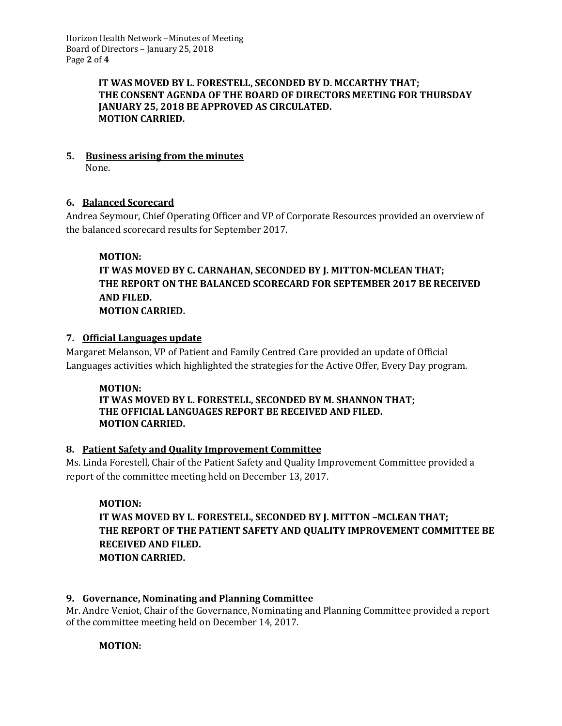# **IT WAS MOVED BY L. FORESTELL, SECONDED BY D. MCCARTHY THAT; THE CONSENT AGENDA OF THE BOARD OF DIRECTORS MEETING FOR THURSDAY JANUARY 25, 2018 BE APPROVED AS CIRCULATED. MOTION CARRIED.**

#### **5. Business arising from the minutes** None.

# **6. Balanced Scorecard**

Andrea Seymour, Chief Operating Officer and VP of Corporate Resources provided an overview of the balanced scorecard results for September 2017.

# **MOTION:**

# **IT WAS MOVED BY C. CARNAHAN, SECONDED BY J. MITTON-MCLEAN THAT; THE REPORT ON THE BALANCED SCORECARD FOR SEPTEMBER 2017 BE RECEIVED AND FILED. MOTION CARRIED.**

# **7. Official Languages update**

Margaret Melanson, VP of Patient and Family Centred Care provided an update of Official Languages activities which highlighted the strategies for the Active Offer, Every Day program.

### **MOTION:**

### **IT WAS MOVED BY L. FORESTELL, SECONDED BY M. SHANNON THAT; THE OFFICIAL LANGUAGES REPORT BE RECEIVED AND FILED. MOTION CARRIED.**

# **8. Patient Safety and Quality Improvement Committee**

Ms. Linda Forestell, Chair of the Patient Safety and Quality Improvement Committee provided a report of the committee meeting held on December 13, 2017.

# **MOTION:**

# **IT WAS MOVED BY L. FORESTELL, SECONDED BY J. MITTON –MCLEAN THAT; THE REPORT OF THE PATIENT SAFETY AND QUALITY IMPROVEMENT COMMITTEE BE RECEIVED AND FILED. MOTION CARRIED.**

# **9. Governance, Nominating and Planning Committee**

Mr. Andre Veniot, Chair of the Governance, Nominating and Planning Committee provided a report of the committee meeting held on December 14, 2017.

# **MOTION:**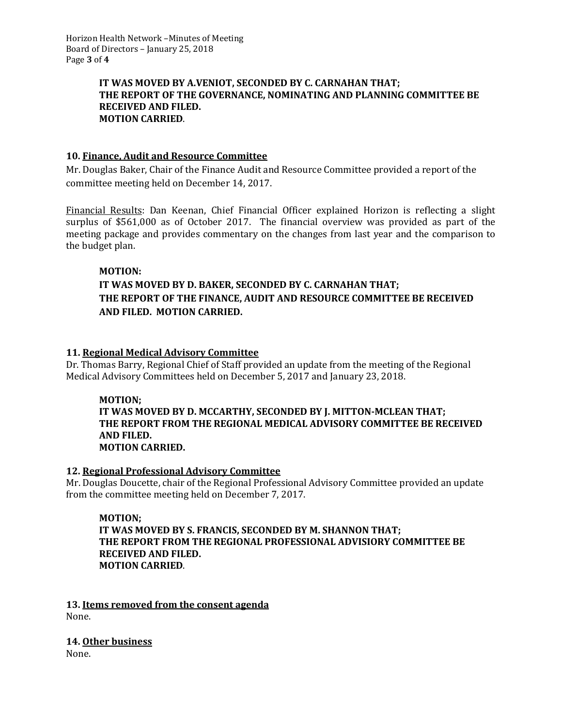### **IT WAS MOVED BY A.VENIOT, SECONDED BY C. CARNAHAN THAT; THE REPORT OF THE GOVERNANCE, NOMINATING AND PLANNING COMMITTEE BE RECEIVED AND FILED. MOTION CARRIED**.

# **10. Finance, Audit and Resource Committee**

Mr. Douglas Baker, Chair of the Finance Audit and Resource Committee provided a report of the committee meeting held on December 14, 2017.

Financial Results: Dan Keenan, Chief Financial Officer explained Horizon is reflecting a slight surplus of \$561,000 as of October 2017. The financial overview was provided as part of the meeting package and provides commentary on the changes from last year and the comparison to the budget plan.

### **MOTION:**

# **IT WAS MOVED BY D. BAKER, SECONDED BY C. CARNAHAN THAT; THE REPORT OF THE FINANCE, AUDIT AND RESOURCE COMMITTEE BE RECEIVED AND FILED. MOTION CARRIED.**

### **11. Regional Medical Advisory Committee**

Dr. Thomas Barry, Regional Chief of Staff provided an update from the meeting of the Regional Medical Advisory Committees held on December 5, 2017 and January 23, 2018.

### **MOTION;**

### **IT WAS MOVED BY D. MCCARTHY, SECONDED BY J. MITTON-MCLEAN THAT; THE REPORT FROM THE REGIONAL MEDICAL ADVISORY COMMITTEE BE RECEIVED AND FILED. MOTION CARRIED.**

### **12. Regional Professional Advisory Committee**

Mr. Douglas Doucette, chair of the Regional Professional Advisory Committee provided an update from the committee meeting held on December 7, 2017.

# **MOTION;**

### **IT WAS MOVED BY S. FRANCIS, SECONDED BY M. SHANNON THAT; THE REPORT FROM THE REGIONAL PROFESSIONAL ADVISIORY COMMITTEE BE RECEIVED AND FILED. MOTION CARRIED**.

**13. Items removed from the consent agenda** None.

**14. Other business** None.